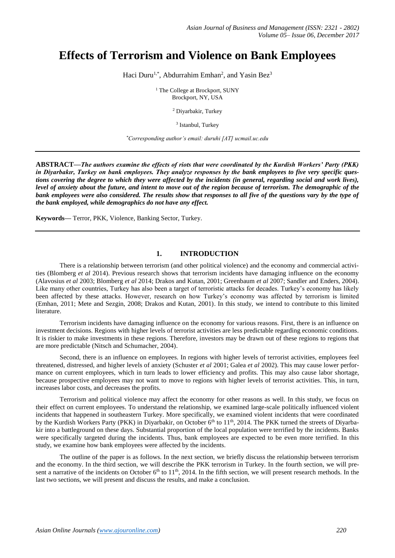# **Effects of Terrorism and Violence on Bank Employees**

Haci Duru<sup>1,\*</sup>, Abdurrahim Emhan<sup>2</sup>, and Yasin Bez<sup>3</sup>

<sup>1</sup> The College at Brockport, SUNY Brockport, NY, USA

<sup>2</sup> Diyarbakir, Turkey

<sup>3</sup> Istanbul, Turkey

*\*Corresponding author's email: duruhi [AT] ucmail.uc.edu*

**ABSTRACT—***The authors examine the effects of riots that were coordinated by the Kurdish Workers' Party (PKK) in Diyarbakır, Turkey on bank employees. They analyze responses by the bank employees to five very specific questions covering the degree to which they were affected by the incidents (in general, regarding social and work lives), level of anxiety about the future, and intent to move out of the region because of terrorism. The demographic of the bank employees were also considered. The results show that responses to all five of the questions vary by the type of the bank employed, while demographics do not have any effect.*

**Keywords—** Terror, PKK, Violence, Banking Sector, Turkey.

# **1. INTRODUCTION**

There is a relationship between terrorism (and other political violence) and the economy and commercial activities (Blomberg *et al* 2014). Previous research shows that terrorism incidents have damaging influence on the economy (Alavosius *et al* 2003; Blomberg *et al* 2014; Drakos and Kutan, 2001; Greenbaum *et al* 2007; Sandler and Enders, 2004). Like many other countries, Turkey has also been a target of terroristic attacks for decades. Turkey's economy has likely been affected by these attacks. However, research on how Turkey's economy was affected by terrorism is limited (Emhan, 2011; Mete and Sezgin, 2008; Drakos and Kutan, 2001). In this study, we intend to contribute to this limited literature.

Terrorism incidents have damaging influence on the economy for various reasons. First, there is an influence on investment decisions. Regions with higher levels of terrorist activities are less predictable regarding economic conditions. It is riskier to make investments in these regions. Therefore, investors may be drawn out of these regions to regions that are more predictable (Nitsch and Schumacher, 2004).

Second, there is an influence on employees. In regions with higher levels of terrorist activities, employees feel threatened, distressed, and higher levels of anxiety (Schuster *et al* 2001; Galea *et al* 2002). This may cause lower performance on current employees, which in turn leads to lower efficiency and profits. This may also cause labor shortage, because prospective employees may not want to move to regions with higher levels of terrorist activities. This, in turn, increases labor costs, and decreases the profits.

Terrorism and political violence may affect the economy for other reasons as well. In this study, we focus on their effect on current employees. To understand the relationship, we examined large-scale politically influenced violent incidents that happened in southeastern Turkey. More specifically, we examined violent incidents that were coordinated by the Kurdish Workers Party (PKK) in Diyarbakir, on October 6<sup>th</sup> to 11<sup>th</sup>, 2014. The PKK turned the streets of Diyarbakir into a battleground on these days. Substantial proportion of the local population were terrified by the incidents. Banks were specifically targeted during the incidents. Thus, bank employees are expected to be even more terrified. In this study, we examine how bank employees were affected by the incidents.

The outline of the paper is as follows. In the next section, we briefly discuss the relationship between terrorism and the economy. In the third section, we will describe the PKK terrorism in Turkey. In the fourth section, we will present a narrative of the incidents on October  $6<sup>th</sup>$  to  $11<sup>th</sup>$ , 2014. In the fifth section, we will present research methods. In the last two sections, we will present and discuss the results, and make a conclusion.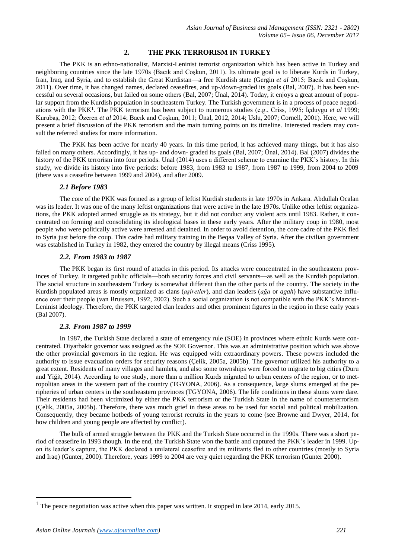# **2. THE PKK TERRORISM IN TURKEY**

The PKK is an ethno-nationalist, Marxist-Leninist terrorist organization which has been active in Turkey and neighboring countries since the late 1970s (Bacık and Coşkun, 2011). Its ultimate goal is to liberate Kurds in Turkey, Iran, Iraq, and Syria, and to establish the Great Kurdistan—a free Kurdish state (Gergin *et al* 2015; Bacık and Coşkun, 2011). Over time, it has changed names, declared ceasefires, and up-/down-graded its goals (Bal, 2007). It has been successful on several occasions, but failed on some others (Bal, 2007; Ünal, 2014). Today, it enjoys a great amount of popular support from the Kurdish population in southeastern Turkey. The Turkish government is in a process of peace negotiations with the PKK<sup>1</sup> . The PKK terrorism has been subject to numerous studies (e.g., Criss, 1995; İçduygu *et al* 1999; Kurubaş, 2012; Özeren *et al* 2014; Bacık and Coşkun, 2011; Ünal, 2012, 2014; Uslu, 2007; Cornell, 2001). Here, we will present a brief discussion of the PKK terrorism and the main turning points on its timeline. Interested readers may consult the referred studies for more information.

The PKK has been active for nearly 40 years. In this time period, it has achieved many things, but it has also failed on many others. Accordingly, it has up- and down- graded its goals (Bal, 2007; Ünal, 2014). Bal (2007) divides the history of the PKK terrorism into four periods. Unal (2014) uses a different scheme to examine the PKK's history. In this study, we divide its history into five periods: before 1983, from 1983 to 1987, from 1987 to 1999, from 2004 to 2009 (there was a ceasefire between 1999 and 2004), and after 2009.

## *2.1 Before 1983*

The core of the PKK was formed as a group of leftist Kurdish students in late 1970s in Ankara. Abdullah Ocalan was its leader. It was one of the many leftist organizations that were active in the late 1970s. Unlike other leftist organizations, the PKK adopted armed struggle as its strategy, but it did not conduct any violent acts until 1983. Rather, it concentrated on forming and consolidating its ideological bases in these early years. After the military coup in 1980, most people who were politically active were arrested and detained. In order to avoid detention, the core cadre of the PKK fled to Syria just before the coup. This cadre had military training in the Beqaa Valley of Syria. After the civilian government was established in Turkey in 1982, they entered the country by illegal means (Criss 1995).

## *2.2. From 1983 to 1987*

The PKK began its first round of attacks in this period. Its attacks were concentrated in the southeastern provinces of Turkey. It targeted public officials—both security forces and civil servants—as well as the Kurdish population. The social structure in southeastern Turkey is somewhat different than the other parts of the country. The society in the Kurdish populated areas is mostly organized as clans (*aşiretler*), and clan leaders (*ağa* or *agah*) have substantive influence over their people (van Bruissen, 1992, 2002). Such a social organization is not compatible with the PKK's Marxist-Leninist ideology. Therefore, the PKK targeted clan leaders and other prominent figures in the region in these early years (Bal 2007).

# *2.3. From 1987 to 1999*

In 1987, the Turkish State declared a state of emergency rule (SOE) in provinces where ethnic Kurds were concentrated. Diyarbakir governor was assigned as the SOE Governor. This was an administrative position which was above the other provincial governors in the region. He was equipped with extraordinary powers. These powers included the authority to issue evacuation orders for security reasons (Çelik, 2005a, 2005b). The governor utilized his authority to a great extent. Residents of many villages and hamlets, and also some townships were forced to migrate to big cities (Duru and Yiğit, 2014). According to one study, more than a million Kurds migrated to urban centers of the region, or to metropolitan areas in the western part of the country (TGYONA, 2006). As a consequence, large slums emerged at the peripheries of urban centers in the southeastern provinces (TGYONA, 2006). The life conditions in these slums were dare. Their residents had been victimized by either the PKK terrorism or the Turkish State in the name of counterterrorism (Çelik, 2005a, 2005b). Therefore, there was much grief in these areas to be used for social and political mobilization. Consequently, they became hotbeds of young terrorist recruits in the years to come (see Browne and Dwyer, 2014, for how children and young people are affected by conflict).

The bulk of armed struggle between the PKK and the Turkish State occurred in the 1990s. There was a short period of ceasefire in 1993 though. In the end, the Turkish State won the battle and captured the PKK's leader in 1999. Upon its leader's capture, the PKK declared a unilateral ceasefire and its militants fled to other countries (mostly to Syria and Iraq) (Gunter, 2000). Therefore, years 1999 to 2004 are very quiet regarding the PKK terrorism (Gunter 2000).

<sup>&</sup>lt;sup>1</sup> The peace negotiation was active when this paper was written. It stopped in late 2014, early 2015.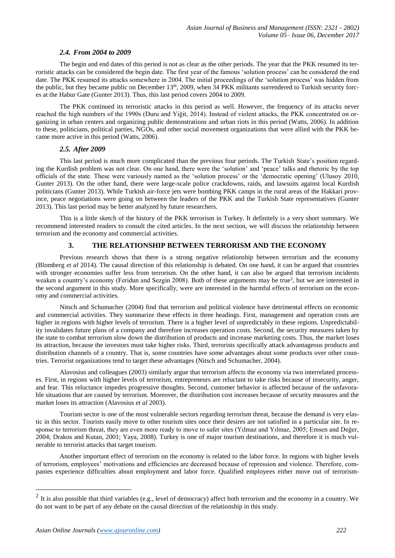# *2.4. From 2004 to 2009*

The begin and end dates of this period is not as clear as the other periods. The year that the PKK resumed its terroristic attacks can be considered the begin date. The first year of the famous 'solution process' can be considered the end date. The PKK resumed its attacks somewhere in 2004. The initial proceedings of the 'solution process' was hidden from the public, but they became public on December  $13<sup>th</sup>$ , 2009, when 34 PKK militants surrendered to Turkish security forces at the Habur Gate (Gunter 2013). Thus, this last period covers 2004 to 2009.

The PKK continued its terroristic attacks in this period as well. However, the frequency of its attacks never reached the high numbers of the 1990s (Duru and Yiğit, 2014). Instead of violent attacks, the PKK concentrated on organizing in urban centers and organizing public demonstrations and urban riots in this period (Watts, 2006). In addition to these, politicians, political parties, NGOs, and other social movement organizations that were allied with the PKK became more active in this period (Watts, 2006).

#### *2.5. After 2009*

This last period is much more complicated than the previous four periods. The Turkish State's position regarding the Kurdish problem was not clear. On one hand, there were the 'solution' and 'peace' talks and rhetoric by the top officials of the state. These were variously named as the 'solution process' or the 'democratic opening' (Ulusoy 2010, Gunter 2013). On the other hand, there were large-scale police crackdowns, raids, and lawsuits against local Kurdish politicians (Gunter 2013). While Turkish air-force jets were bombing PKK camps in the rural areas of the Hakkari province, peace negotiations were going on between the leaders of the PKK and the Turkish State representatives (Gunter 2013). This last period may be better analyzed by future researchers.

This is a little sketch of the history of the PKK terrorism in Turkey. It definitely is a very short summary. We recommend interested readers to consult the cited articles. In the next section, we will discuss the relationship between terrorism and the economy and commercial activities.

# **3. THE RELATIONSHIP BETWEEN TERRORISM AND THE ECONOMY**

Previous research shows that there is a strong negative relationship between terrorism and the economy (Blomberg *et al* 2014). The causal direction of this relationship is debated. On one hand, it can be argued that countries with stronger economies suffer less from terrorism. On the other hand, it can also be argued that terrorism incidents weaken a country's economy (Feridun and Sezgin 2008). Both of these arguments may be true<sup>2</sup>, but we are interested in the second argument in this study. More specifically, were are interested in the harmful effects of terrorism on the economy and commercial activities.

Nitsch and Schumacher (2004) find that terrorism and political violence have detrimental effects on economic and commercial activities. They summarize these effects in three headings. First, management and operation costs are higher in regions with higher levels of terrorism. There is a higher level of unpredictably in these regions. Unpredictability invalidates future plans of a company and therefore increases operation costs. Second, the security measures taken by the state to combat terrorism slow down the distribution of products and increase marketing costs. Thus, the market loses its attraction, because the investors must take higher risks. Third, terrorists specifically attack advantageous products and distribution channels of a country. That is, some countries have some advantages about some products over other countries. Terrorist organizations tend to target these advantages (Nitsch and Schumacher, 2004).

Alavosius and colleagues (2003) similarly argue that terrorism affects the economy via two interrelated processes. First, in regions with higher levels of terrorism, entrepreneurs are reluctant to take risks because of insecurity, anger, and fear. This reluctance impedes progressive thoughts. Second, customer behavior is affected because of the unfavorable situations that are caused by terrorism. Moreover, the distribution cost increases because of security measures and the market loses its attraction (Alavosius *et al* 2003).

Tourism sector is one of the most vulnerable sectors regarding terrorism threat, because the demand is very elastic in this sector. Tourists easily move to other tourism sites once their desires are not satisfied in a particular site. In response to terrorism threat, they are even more ready to move to safer sites (Yılmaz and Yılmaz, 2005; Emsen and Değer, 2004; Drakos and Kutan, 2001; Yaya, 2008). Turkey is one of major tourism destinations, and therefore it is much vulnerable to terrorist attacks that target tourism.

Another important effect of terrorism on the economy is related to the labor force. In regions with higher levels of terrorism, employees' motivations and efficiencies are decreased because of repression and violence. Therefore, companies experience difficulties about employment and labor force. Qualified employees either move out of terrorism-

<sup>&</sup>lt;sup>2</sup> It is also possible that third variables (e.g., level of democracy) affect both terrorism and the economy in a country. We do not want to be part of any debate on the causal direction of the relationship in this study.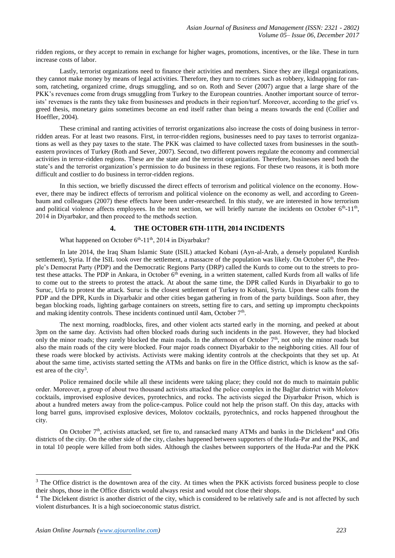ridden regions, or they accept to remain in exchange for higher wages, promotions, incentives, or the like. These in turn increase costs of labor.

Lastly, terrorist organizations need to finance their activities and members. Since they are illegal organizations, they cannot make money by means of legal activities. Therefore, they turn to crimes such as robbery, kidnapping for ransom, ratcheting, organized crime, drugs smuggling, and so on. Roth and Sever (2007) argue that a large share of the PKK's revenues come from drugs smuggling from Turkey to the European countries. Another important source of terrorists' revenues is the rants they take from businesses and products in their region/turf. Moreover, according to the grief vs. greed thesis, monetary gains sometimes become an end itself rather than being a means towards the end (Collier and Hoeffler, 2004).

These criminal and ranting activities of terrorist organizations also increase the costs of doing business in terrorridden areas. For at least two reasons. First, in terror-ridden regions, businesses need to pay taxes to terrorist organizations as well as they pay taxes to the state. The PKK was claimed to have collected taxes from businesses in the southeastern provinces of Turkey (Roth and Sever, 2007). Second, two different powers regulate the economy and commercial activities in terror-ridden regions. These are the state and the terrorist organization. Therefore, businesses need both the state's and the terrorist organization's permission to do business in these regions. For these two reasons, it is both more difficult and costlier to do business in terror-ridden regions.

In this section, we briefly discussed the direct effects of terrorism and political violence on the economy. However, there may be indirect effects of terrorism and political violence on the economy as well, and according to Greenbaum and colleagues (2007) these effects have been under-researched. In this study, we are interested in how terrorism and political violence affects employees. In the next section, we will briefly narrate the incidents on October  $6<sup>th</sup>$ -11<sup>th</sup>, 2014 in Diyarbakır, and then proceed to the methods section.

## **4. THE OCTOBER 6TH-11TH, 2014 INCIDENTS**

What happened on October 6<sup>th</sup>-11<sup>th</sup>, 2014 in Diyarbakır?

In late 2014, the Iraq Sham Islamic State (ISIL) attacked Kobani (Ayn-al-Arab, a densely populated Kurdish settlement), Syria. If the ISIL took over the settlement, a massacre of the population was likely. On October  $6<sup>th</sup>$ , the People's Democrat Party (PDP) and the Democratic Regions Party (DRP) called the Kurds to come out to the streets to protest these attacks. The PDP in Ankara, in October  $6<sup>th</sup>$  evening, in a written statement, called Kurds from all walks of life to come out to the streets to protest the attack. At about the same time, the DPR called Kurds in Diyarbakir to go to Suruc, Urfa to protest the attack. Suruc is the closest settlement of Turkey to Kobani, Syria. Upon these calls from the PDP and the DPR, Kurds in Diyarbakir and other cities began gathering in from of the party buildings. Soon after, they began blocking roads, lighting garbage containers on streets, setting fire to cars, and setting up impromptu checkpoints and making identity controls. These incidents continued until 4am, October  $7<sup>th</sup>$ .

The next morning, roadblocks, fires, and other violent acts started early in the morning, and peeked at about 3pm on the same day. Activists had often blocked roads during such incidents in the past. However, they had blocked only the minor roads; they rarely blocked the main roads. In the afternoon of October 7<sup>th</sup>, not only the minor roads but also the main roads of the city were blocked. Four major roads connect Diyarbakir to the neighboring cities. All four of these roads were blocked by activists. Activists were making identity controls at the checkpoints that they set up. At about the same time, activists started setting the ATMs and banks on fire in the Office district, which is know as the safest area of the city<sup>3</sup>.

Police remained docile while all these incidents were taking place; they could not do much to maintain public order. Moreover, a group of about two thousand activists attacked the police complex in the Bağlar district with Molotov cocktails, improvised explosive devices, pyrotechnics, and rocks. The activists sieged the Diyarbakır Prison, which is about a hundred meters away from the police-campus. Police could not help the prison staff. On this day, attacks with long barrel guns, improvised explosive devices, Molotov cocktails, pyrotechnics, and rocks happened throughout the city.

On October  $7<sup>th</sup>$ , activists attacked, set fire to, and ransacked many ATMs and banks in the Diclekent<sup>4</sup> and Ofis districts of the city. On the other side of the city, clashes happened between supporters of the Huda-Par and the PKK, and in total 10 people were killed from both sides. Although the clashes between supporters of the Huda-Par and the PKK

<sup>&</sup>lt;sup>3</sup> The Office district is the downtown area of the city. At times when the PKK activists forced business people to close their shops, those in the Office districts would always resist and would not close their shops.

<sup>&</sup>lt;sup>4</sup> The Diclekent district is another district of the city, which is considered to be relatively safe and is not affected by such violent disturbances. It is a high socioeconomic status district.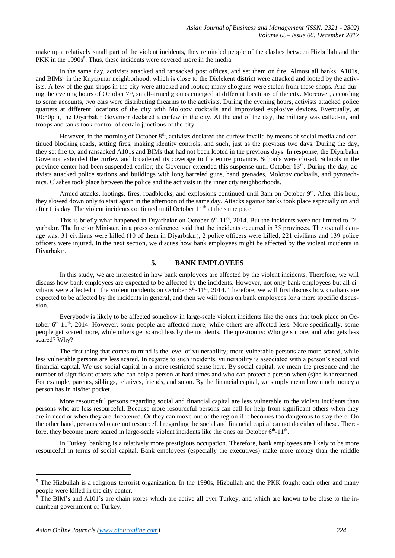make up a relatively small part of the violent incidents, they reminded people of the clashes between Hizbullah and the PKK in the 1990s<sup>5</sup>. Thus, these incidents were covered more in the media.

In the same day, activists attacked and ransacked post offices, and set them on fire. Almost all banks, A101s, and BIMs<sup>6</sup> in the Kayapınar neighborhood, which is close to the Diclekent district were attacked and looted by the activists. A few of the gun shops in the city were attacked and looted; many shotguns were stolen from these shops. And during the evening hours of October 7<sup>th</sup>, small-armed groups emerged at different locations of the city. Moreover, according to some accounts, two cars were distributing firearms to the activists. During the evening hours, activists attacked police quarters at different locations of the city with Molotov cocktails and improvised explosive devices. Eventually, at 10:30pm, the Diyarbakır Governor declared a curfew in the city. At the end of the day, the military was called-in, and troops and tanks took control of certain junctions of the city.

However, in the morning of October  $8<sup>th</sup>$ , activists declared the curfew invalid by means of social media and continued blocking roads, setting fires, making identity controls, and such, just as the previous two days. During the day, they set fire to, and ransacked A101s and BIMs that had not been looted in the previous days. In response, the Diyarbakır Governor extended the curfew and broadened its coverage to the entire province. Schools were closed. Schools in the province center had been suspended earlier; the Governor extended this suspense until October 13<sup>th</sup>. During the day, activists attacked police stations and buildings with long barreled guns, hand grenades, Molotov cocktails, and pyrotechnics. Clashes took place between the police and the activists in the inner city neighborhoods.

Armed attacks, lootings, fires, roadblocks, and explosions continued until 3am on October  $9<sup>th</sup>$ . After this hour, they slowed down only to start again in the afternoon of the same day. Attacks against banks took place especially on and after this day. The violent incidents continued until October  $11<sup>th</sup>$  at the same pace.

This is briefly what happened in Diyarbakır on October 6<sup>th</sup>-11<sup>th</sup>, 2014. But the incidents were not limited to Diyarbakır. The Interior Minister, in a press conference, said that the incidents occurred in 35 provinces. The overall damage was: 31 civilians were killed (10 of them in Diyarbakır), 2 police officers were killed, 221 civilians and 139 police officers were injured. In the next section, we discuss how bank employees might be affected by the violent incidents in Diyarbakır.

#### **5. BANK EMPLOYEES**

In this study, we are interested in how bank employees are affected by the violent incidents. Therefore, we will discuss how bank employees are expected to be affected by the incidents. However, not only bank employees but all civilians were affected in the violent incidents on October  $6<sup>th</sup>$ -11<sup>th</sup>, 2014. Therefore, we will first discuss how civilians are expected to be affected by the incidents in general, and then we will focus on bank employees for a more specific discussion.

Everybody is likely to be affected somehow in large-scale violent incidents like the ones that took place on October  $6<sup>th</sup>$ -11<sup>th</sup>, 2014. However, some people are affected more, while others are affected less. More specifically, some people get scared more, while others get scared less by the incidents. The question is: Who gets more, and who gets less scared? Why?

The first thing that comes to mind is the level of vulnerability; more vulnerable persons are more scared, while less vulnerable persons are less scared. In regards to such incidents, vulnerability is associated with a person's social and financial capital. We use social capital in a more restricted sense here. By social capital, we mean the presence and the number of significant others who can help a person at hard times and who can protect a person when (s)he is threatened. For example, parents, siblings, relatives, friends, and so on. By the financial capital, we simply mean how much money a person has in his/her pocket.

More resourceful persons regarding social and financial capital are less vulnerable to the violent incidents than persons who are less resourceful. Because more resourceful persons can call for help from significant others when they are in need or when they are threatened. Or they can move out of the region if it becomes too dangerous to stay there. On the other hand, persons who are not resourceful regarding the social and financial capital cannot do either of these. Therefore, they become more scared in large-scale violent incidents like the ones on October  $6<sup>th</sup>$ -11<sup>th</sup>.

In Turkey, banking is a relatively more prestigious occupation. Therefore, bank employees are likely to be more resourceful in terms of social capital. Bank employees (especially the executives) make more money than the middle

<sup>&</sup>lt;sup>5</sup> The Hizbullah is a religious terrorist organization. In the 1990s, Hizbullah and the PKK fought each other and many people were killed in the city center.

 $6$  The BIM's and A101's are chain stores which are active all over Turkey, and which are known to be close to the incumbent government of Turkey.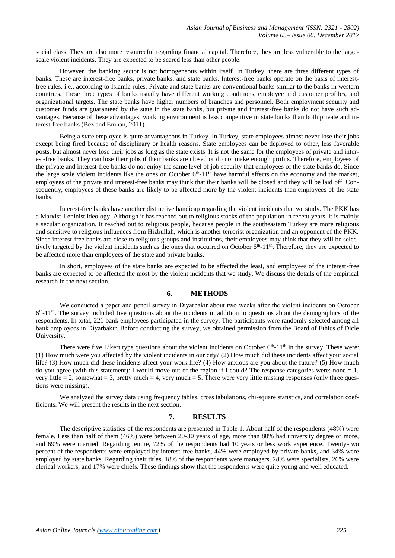social class. They are also more resourceful regarding financial capital. Therefore, they are less vulnerable to the largescale violent incidents. They are expected to be scared less than other people.

However, the banking sector is not homogeneous within itself. In Turkey, there are three different types of banks. These are interest-free banks, private banks, and state banks. Interest-free banks operate on the basis of interestfree rules, i.e., according to Islamic rules. Private and state banks are conventional banks similar to the banks in western countries. These three types of banks usually have different working conditions, employee and customer profiles, and organizational targets. The state banks have higher numbers of branches and personnel. Both employment security and customer funds are guaranteed by the state in the state banks, but private and interest-free banks do not have such advantages. Because of these advantages, working environment is less competitive in state banks than both private and interest-free banks (Bez and Emhan, 2011).

Being a state employee is quite advantageous in Turkey. In Turkey, state employees almost never lose their jobs except being fired because of disciplinary or health reasons. State employees can be deployed to other, less favorable posts, but almost never lose their jobs as long as the state exists. It is not the same for the employees of private and interest-free banks. They can lose their jobs if their banks are closed or do not make enough profits. Therefore, employees of the private and interest-free banks do not enjoy the same level of job security that employees of the state banks do. Since the large scale violent incidents like the ones on October  $6<sup>th</sup>$ -11<sup>th</sup> have harmful effects on the economy and the market, employees of the private and interest-free banks may think that their banks will be closed and they will be laid off. Consequently, employees of these banks are likely to be affected more by the violent incidents than employees of the state banks.

Interest-free banks have another distinctive handicap regarding the violent incidents that we study. The PKK has a Marxist-Leninist ideology. Although it has reached out to religious stocks of the population in recent years, it is mainly a secular organization. It reached out to religious people, because people in the southeastern Turkey are more religious and sensitive to religious influences from Hizbullah, which is another terrorist organization and an opponent of the PKK. Since interest-free banks are close to religious groups and institutions, their employees may think that they will be selectively targeted by the violent incidents such as the ones that occurred on October  $6<sup>th</sup>$ -11<sup>th</sup>. Therefore, they are expected to be affected more than employees of the state and private banks.

In short, employees of the state banks are expected to be affected the least, and employees of the interest-free banks are expected to be affected the most by the violent incidents that we study. We discuss the details of the empirical research in the next section.

#### **6. METHODS**

We conducted a paper and pencil survey in Diyarbakır about two weeks after the violent incidents on October  $6<sup>th</sup> - 11<sup>th</sup>$ . The survey included five questions about the incidents in addition to questions about the demographics of the respondents. In total, 221 bank employees participated in the survey. The participants were randomly selected among all bank employees in Diyarbakır. Before conducting the survey, we obtained permission from the Board of Ethics of Dicle University.

There were five Likert type questions about the violent incidents on October  $6<sup>th</sup>$ -11<sup>th</sup> in the survey. These were: (1) How much were you affected by the violent incidents in our city? (2) How much did these incidents affect your social life? (3) How much did these incidents affect your work life? (4) How anxious are you about the future? (5) How much do you agree (with this statement): I would move out of the region if I could? The response categories were: none  $= 1$ , very little  $= 2$ , somewhat  $= 3$ , pretty much  $= 4$ , very much  $= 5$ . There were very little missing responses (only three questions were missing).

We analyzed the survey data using frequency tables, cross tabulations, chi-square statistics, and correlation coefficients. We will present the results in the next section.

# **7. RESULTS**

The descriptive statistics of the respondents are presented in Table 1. About half of the respondents (48%) were female. Less than half of them (46%) were between 20-30 years of age, more than 80% had university degree or more, and 69% were married. Regarding tenure, 72% of the respondents had 10 years or less work experience. Twenty-two percent of the respondents were employed by interest-free banks, 44% were employed by private banks, and 34% were employed by state banks. Regarding their titles, 18% of the respondents were managers, 28% were specialists, 26% were clerical workers, and 17% were chiefs. These findings show that the respondents were quite young and well educated.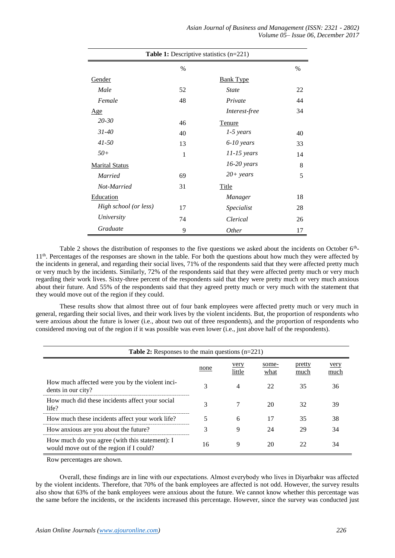| <b>Table 1:</b> Descriptive statistics $(n=221)$ |      |                  |      |  |  |
|--------------------------------------------------|------|------------------|------|--|--|
|                                                  | $\%$ |                  | $\%$ |  |  |
| Gender                                           |      | <b>Bank Type</b> |      |  |  |
| Male                                             | 52   | <b>State</b>     | 22   |  |  |
| Female                                           | 48   | Private          | 44   |  |  |
| Age                                              |      | Interest-free    | 34   |  |  |
| $20 - 30$                                        | 46   | Tenure           |      |  |  |
| $31 - 40$                                        | 40   | $1-5$ years      | 40   |  |  |
| $41 - 50$                                        | 13   | $6-10$ years     | 33   |  |  |
| $50+$                                            | 1    | $11-15$ years    | 14   |  |  |
| <b>Marital Status</b>                            |      | $16-20$ years    | 8    |  |  |
| <b>Married</b>                                   | 69   | $20+ years$      | 5    |  |  |
| Not-Married                                      | 31   | <b>Title</b>     |      |  |  |
| Education                                        |      | Manager          | 18   |  |  |
| High school (or less)                            | 17   | Specialist       | 28   |  |  |
| University                                       | 74   | Clerical         | 26   |  |  |
| Graduate                                         | 9    | <i>Other</i>     | 17   |  |  |

Table 2 shows the distribution of responses to the five questions we asked about the incidents on October  $6<sup>th</sup>$ 11<sup>th</sup>. Percentages of the responses are shown in the table. For both the questions about how much they were affected by the incidents in general, and regarding their social lives, 71% of the respondents said that they were affected pretty much or very much by the incidents. Similarly, 72% of the respondents said that they were affected pretty much or very much regarding their work lives. Sixty-three percent of the respondents said that they were pretty much or very much anxious about their future. And 55% of the respondents said that they agreed pretty much or very much with the statement that they would move out of the region if they could.

These results show that almost three out of four bank employees were affected pretty much or very much in general, regarding their social lives, and their work lives by the violent incidents. But, the proportion of respondents who were anxious about the future is lower (i.e., about two out of three respondents), and the proportion of respondents who considered moving out of the region if it was possible was even lower (i.e., just above half of the respondents).

| <b>Table 2:</b> Responses to the main questions $(n=221)$                                  |      |                |               |                |              |  |  |
|--------------------------------------------------------------------------------------------|------|----------------|---------------|----------------|--------------|--|--|
|                                                                                            | none | very<br>little | some-<br>what | pretty<br>much | very<br>much |  |  |
| How much affected were you by the violent inci-<br>dents in our city?                      | 3    | 4              | 22            | 35             | 36           |  |  |
| How much did these incidents affect your social<br>life?                                   | 3    |                | 20            | 32             | 39           |  |  |
| How much these incidents affect your work life?                                            |      | 6              | 17            | 35             | 38           |  |  |
| How anxious are you about the future?                                                      | 3    | 9              | 24            | 29             | 34           |  |  |
| How much do you agree (with this statement): I<br>would move out of the region if I could? | 16   | 9              | 20            | 22             | 34           |  |  |

Row percentages are shown.

Overall, these findings are in line with our expectations. Almost everybody who lives in Diyarbakır was affected by the violent incidents. Therefore, that 70% of the bank employees are affected is not odd. However, the survey results also show that 63% of the bank employees were anxious about the future. We cannot know whether this percentage was the same before the incidents, or the incidents increased this percentage. However, since the survey was conducted just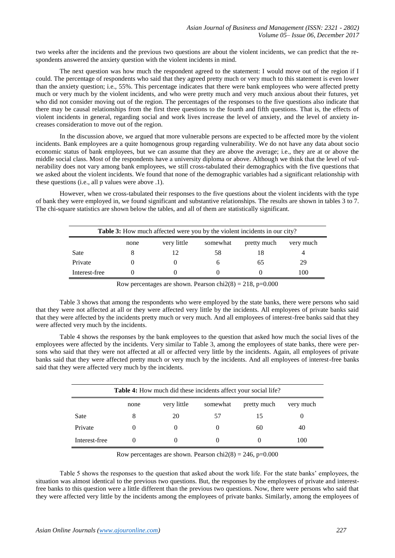two weeks after the incidents and the previous two questions are about the violent incidents, we can predict that the respondents answered the anxiety question with the violent incidents in mind.

The next question was how much the respondent agreed to the statement: I would move out of the region if I could. The percentage of respondents who said that they agreed pretty much or very much to this statement is even lower than the anxiety question; i.e., 55%. This percentage indicates that there were bank employees who were affected pretty much or very much by the violent incidents, and who were pretty much and very much anxious about their futures, yet who did not consider moving out of the region. The percentages of the responses to the five questions also indicate that there may be causal relationships from the first three questions to the fourth and fifth questions. That is, the effects of violent incidents in general, regarding social and work lives increase the level of anxiety, and the level of anxiety increases consideration to move out of the region.

In the discussion above, we argued that more vulnerable persons are expected to be affected more by the violent incidents. Bank employees are a quite homogenous group regarding vulnerability. We do not have any data about socio economic status of bank employees, but we can assume that they are above the average; i.e., they are at or above the middle social class. Most of the respondents have a university diploma or above. Although we think that the level of vulnerability does not vary among bank employees, we still cross-tabulated their demographics with the five questions that we asked about the violent incidents. We found that none of the demographic variables had a significant relationship with these questions (i.e., all p values were above .1).

However, when we cross-tabulated their responses to the five questions about the violent incidents with the type of bank they were employed in, we found significant and substantive relationships. The results are shown in tables 3 to 7. The chi-square statistics are shown below the tables, and all of them are statistically significant.

| <b>Table 3:</b> How much affected were you by the violent incidents in our city? |  |  |    |    |     |  |  |
|----------------------------------------------------------------------------------|--|--|----|----|-----|--|--|
| very little<br>somewhat<br>pretty much<br>very much<br>none                      |  |  |    |    |     |  |  |
| Sate                                                                             |  |  | 58 | 18 |     |  |  |
| Private                                                                          |  |  |    | 65 | 29  |  |  |
| Interest-free                                                                    |  |  |    |    | 100 |  |  |

Row percentages are shown. Pearson chi $2(8) = 218$ , p=0.000

Table 3 shows that among the respondents who were employed by the state banks, there were persons who said that they were not affected at all or they were affected very little by the incidents. All employees of private banks said that they were affected by the incidents pretty much or very much. And all employees of interest-free banks said that they were affected very much by the incidents.

Table 4 shows the responses by the bank employees to the question that asked how much the social lives of the employees were affected by the incidents. Very similar to Table 3, among the employees of state banks, there were persons who said that they were not affected at all or affected very little by the incidents. Again, all employees of private banks said that they were affected pretty much or very much by the incidents. And all employees of interest-free banks said that they were affected very much by the incidents.

| <b>Table 4:</b> How much did these incidents affect your social life? |                                                             |          |    |    |     |  |  |
|-----------------------------------------------------------------------|-------------------------------------------------------------|----------|----|----|-----|--|--|
|                                                                       | very little<br>somewhat<br>pretty much<br>very much<br>none |          |    |    |     |  |  |
| Sate                                                                  | 8                                                           | 20       | 57 | 15 |     |  |  |
| Private                                                               | $\theta$                                                    | $\theta$ |    | 60 | 40  |  |  |
| Interest-free                                                         |                                                             | $\theta$ |    |    | 100 |  |  |

Row percentages are shown. Pearson chi $2(8) = 246$ , p=0.000

Table 5 shows the responses to the question that asked about the work life. For the state banks' employees, the situation was almost identical to the previous two questions. But, the responses by the employees of private and interestfree banks to this question were a little different than the previous two questions. Now, there were persons who said that they were affected very little by the incidents among the employees of private banks. Similarly, among the employees of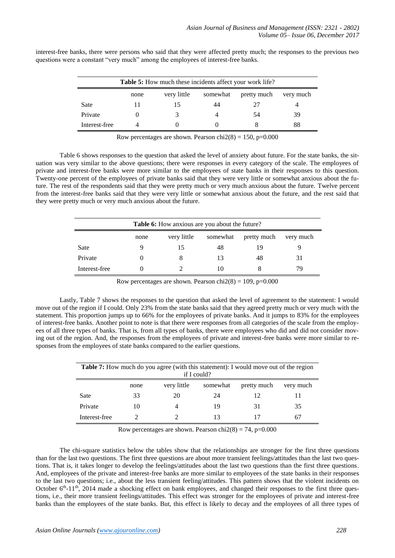| <b>Table 5:</b> How much these incidents affect your work life? |  |   |    |     |    |  |
|-----------------------------------------------------------------|--|---|----|-----|----|--|
| very little<br>somewhat<br>pretty much<br>very much<br>none     |  |   |    |     |    |  |
| Sate                                                            |  |   | 44 | 27  |    |  |
| Private                                                         |  | 3 | 4  | .54 | 39 |  |
| Interest-free                                                   |  |   |    | x   | 88 |  |

interest-free banks, there were persons who said that they were affected pretty much; the responses to the previous two questions were a constant "very much" among the employees of interest-free banks.

Row percentages are shown. Pearson chi $2(8) = 150$ , p=0.000

Table 6 shows responses to the question that asked the level of anxiety about future. For the state banks, the situation was very similar to the above questions; there were responses in every category of the scale. The employees of private and interest-free banks were more similar to the employees of state banks in their responses to this question. Twenty-one percent of the employees of private banks said that they were very little or somewhat anxious about the future. The rest of the respondents said that they were pretty much or very much anxious about the future. Twelve percent from the interest-free banks said that they were very little or somewhat anxious about the future, and the rest said that they were pretty much or very much anxious about the future.

| Table 6: How anxious are you about the future?              |   |    |    |    |    |  |  |
|-------------------------------------------------------------|---|----|----|----|----|--|--|
| very little<br>somewhat<br>pretty much<br>very much<br>none |   |    |    |    |    |  |  |
| Sate                                                        | Q | 15 | 48 | 19 |    |  |  |
| Private                                                     |   | 8  | 13 | 48 | 31 |  |  |
| Interest-free                                               |   |    | 10 |    | 79 |  |  |

Row percentages are shown. Pearson chi $2(8) = 109$ , p=0.000

Lastly, Table 7 shows the responses to the question that asked the level of agreement to the statement: I would move out of the region if I could. Only 23% from the state banks said that they agreed pretty much or very much with the statement. This proportion jumps up to 66% for the employees of private banks. And it jumps to 83% for the employees of interest-free banks. Another point to note is that there were responses from all categories of the scale from the employees of all three types of banks. That is, from all types of banks, there were employees who did and did not consider moving out of the region. And, the responses from the employees of private and interest-free banks were more similar to responses from the employees of state banks compared to the earlier questions.

| <b>Table 7:</b> How much do you agree (with this statement): I would move out of the region<br>if I could? |    |                |    |    |    |  |  |
|------------------------------------------------------------------------------------------------------------|----|----------------|----|----|----|--|--|
| very little<br>somewhat<br>pretty much<br>very much<br>none                                                |    |                |    |    |    |  |  |
| Sate                                                                                                       | 33 | 20             | 24 | 12 |    |  |  |
| Private                                                                                                    | 10 | $\overline{4}$ | 19 | 31 | 35 |  |  |
| Interest-free                                                                                              |    |                | 13 |    | 67 |  |  |

Row percentages are shown. Pearson chi $2(8) = 74$ , p=0.000

The chi-square statistics below the tables show that the relationships are stronger for the first three questions than for the last two questions. The first three questions are about more transient feelings/attitudes than the last two questions. That is, it takes longer to develop the feelings/attitudes about the last two questions than the first three questions. And, employees of the private and interest-free banks are more similar to employees of the state banks in their responses to the last two questions; i.e., about the less transient feeling/attitudes. This pattern shows that the violent incidents on October  $6<sup>th</sup>$ -11<sup>th</sup>, 2014 made a shocking effect on bank employees, and changed their responses to the first three questions, i.e., their more transient feelings/attitudes. This effect was stronger for the employees of private and interest-free banks than the employees of the state banks. But, this effect is likely to decay and the employees of all three types of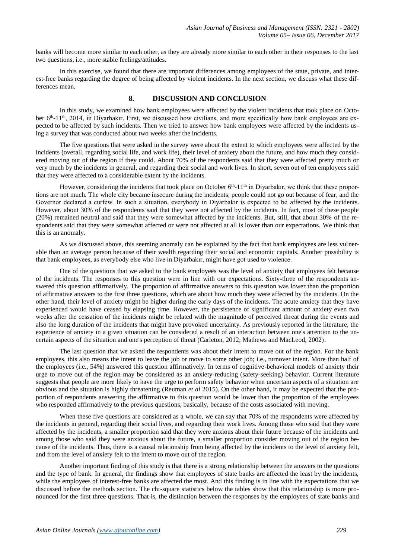banks will become more similar to each other, as they are already more similar to each other in their responses to the last two questions, i.e., more stable feelings/attitudes.

In this exercise, we found that there are important differences among employees of the state, private, and interest-free banks regarding the degree of being affected by violent incidents. In the next section, we discuss what these differences mean.

## **8. DISCUSSION AND CONCLUSION**

In this study, we examined how bank employees were affected by the violent incidents that took place on October 6<sup>th</sup>-11<sup>th</sup>, 2014, in Diyarbakır. First, we discussed how civilians, and more specifically how bank employees are expected to be affected by such incidents. Then we tried to answer how bank employees were affected by the incidents using a survey that was conducted about two weeks after the incidents.

The five questions that were asked in the survey were about the extent to which employees were affected by the incidents (overall, regarding social life, and work life), their level of anxiety about the future, and how much they considered moving out of the region if they could. About 70% of the respondents said that they were affected pretty much or very much by the incidents in general, and regarding their social and work lives. In short, seven out of ten employees said that they were affected to a considerable extent by the incidents.

However, considering the incidents that took place on October  $6<sup>th</sup>$ -11<sup>th</sup> in Diyarbakır, we think that these proportions are not much. The whole city became insecure during the incidents; people could not go out because of fear, and the Governor declared a curfew. In such a situation, everybody in Diyarbakır is expected to be affected by the incidents. However, about 30% of the respondents said that they were not affected by the incidents. In fact, most of these people (20%) remained neutral and said that they were somewhat affected by the incidents. But, still, that about 30% of the respondents said that they were somewhat affected or were not affected at all is lower than our expectations. We think that this is an anomaly.

As we discussed above, this seeming anomaly can be explained by the fact that bank employees are less vulnerable than an average person because of their wealth regarding their social and economic capitals. Another possibility is that bank employees, as everybody else who live in Diyarbakır, might have got used to violence.

One of the questions that we asked to the bank employees was the level of anxiety that employees felt because of the incidents. The responses to this question were in line with our expectations. Sixty-three of the respondents answered this question affirmatively. The proportion of affirmative answers to this question was lower than the proportion of affirmative answers to the first three questions, which are about how much they were affected by the incidents. On the other hand, their level of anxiety might be higher during the early days of the incidents. The acute anxiety that they have experienced would have ceased by elapsing time. However, the persistence of significant amount of anxiety even two weeks after the cessation of the incidents might be related with the magnitude of perceived threat during the events and also the long duration of the incidents that might have provoked uncertainty. As previously reported in the literature, the experience of anxiety in a given situation can be considered a result of an interaction between one's attention to the uncertain aspects of the situation and one's perception of threat (Carleton, 2012; Mathews and MacLeod, 2002).

The last question that we asked the respondents was about their intent to move out of the region. For the bank employees, this also means the intent to leave the job or move to some other job; i.e., turnover intent. More than half of the employees (i.e., 54%) answered this question affirmatively. In terms of cognitive-behavioral models of anxiety their urge to move out of the region may be considered as an anxiety-reducing (safety-seeking) behavior. Current literature suggests that people are more likely to have the urge to perform safety behavior when uncertain aspects of a situation are obvious and the situation is highly threatening (Reuman *et al* 2015). On the other hand, it may be expected that the proportion of respondents answering the affirmative to this question would be lower than the proportion of the employees who responded affirmatively to the previous questions, basically, because of the costs associated with moving.

When these five questions are considered as a whole, we can say that 70% of the respondents were affected by the incidents in general, regarding their social lives, and regarding their work lives. Among those who said that they were affected by the incidents, a smaller proportion said that they were anxious about their future because of the incidents and among those who said they were anxious about the future, a smaller proportion consider moving out of the region because of the incidents. Thus, there is a causal relationship from being affected by the incidents to the level of anxiety felt, and from the level of anxiety felt to the intent to move out of the region.

Another important finding of this study is that there is a strong relationship between the answers to the questions and the type of bank. In general, the findings show that employees of state banks are affected the least by the incidents, while the employees of interest-free banks are affected the most. And this finding is in line with the expectations that we discussed before the methods section. The chi-square statistics below the tables show that this relationship is more pronounced for the first three questions. That is, the distinction between the responses by the employees of state banks and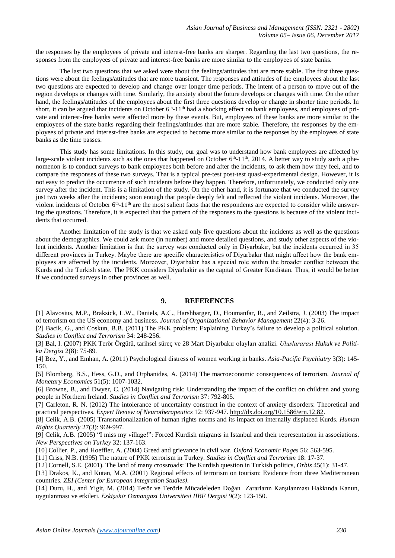the responses by the employees of private and interest-free banks are sharper. Regarding the last two questions, the responses from the employees of private and interest-free banks are more similar to the employees of state banks.

The last two questions that we asked were about the feelings/attitudes that are more stable. The first three questions were about the feelings/attitudes that are more transient. The responses and attitudes of the employees about the last two questions are expected to develop and change over longer time periods. The intent of a person to move out of the region develops or changes with time. Similarly, the anxiety about the future develops or changes with time. On the other hand, the feelings/attitudes of the employees about the first three questions develop or change in shorter time periods. In short, it can be argued that incidents on October 6<sup>th</sup>-11<sup>th</sup> had a shocking effect on bank employees, and employees of private and interest-free banks were affected more by these events. But, employees of these banks are more similar to the employees of the state banks regarding their feelings/attitudes that are more stable. Therefore, the responses by the employees of private and interest-free banks are expected to become more similar to the responses by the employees of state banks as the time passes.

This study has some limitations. In this study, our goal was to understand how bank employees are affected by large-scale violent incidents such as the ones that happened on October 6<sup>th</sup>-11<sup>th</sup>, 2014. A better way to study such a phenomenon is to conduct surveys to bank employees both before and after the incidents, to ask them how they feel, and to compare the responses of these two surveys. That is a typical pre-test post-test quasi-experimental design. However, it is not easy to predict the occurrence of such incidents before they happen. Therefore, unfortunately, we conducted only one survey after the incident. This is a limitation of the study. On the other hand, it is fortunate that we conducted the survey just two weeks after the incidents; soon enough that people deeply felt and reflected the violent incidents. Moreover, the violent incidents of October  $6<sup>th</sup> - 11<sup>th</sup>$  are the most salient facts that the respondents are expected to consider while answering the questions. Therefore, it is expected that the pattern of the responses to the questions is because of the violent incidents that occurred.

Another limitation of the study is that we asked only five questions about the incidents as well as the questions about the demographics. We could ask more (in number) and more detailed questions, and study other aspects of the violent incidents. Another limitation is that the survey was conducted only in Diyarbakır, but the incidents occurred in 35 different provinces in Turkey. Maybe there are specific characteristics of Diyarbakır that might affect how the bank employees are affected by the incidents. Moreover, Diyarbakır has a special role within the broader conflict between the Kurds and the Turkish state. The PKK considers Diyarbakir as the capital of Greater Kurdistan. Thus, it would be better if we conducted surveys in other provinces as well.

#### **9. REFERENCES**

[1] Alavosius, M.P., Braksick, L.W., Daniels, A.C., Harshbarger, D., Houmanfar, R., and Zeilstra, J. (2003) The impact of terrorism on the US economy and business. *Journal of Organizational Behavior Management* 22(4): 3-26.

[2] Bacik, G., and Coskun, B.B. (2011) The PKK problem: Explaining Turkey's failure to develop a political solution. *Studies in Conflict and Terrorism* 34: 248-256.

[3] Bal, I. (2007) PKK Terör Örgütü, tarihsel süreç ve 28 Mart Diyarbakır olayları analizi. *Uluslararası Hukuk ve Politika Dergisi* 2(8): 75-89.

[4] Bez, Y., and Emhan, A. (2011) Psychological distress of women working in banks. *Asia-Pacific Psychiatry* 3(3): 145- 150.

[5] Blomberg, B.S., Hess, G.D., and Orphanides, A. (2014) The macroeconomic consequences of terrorism. *Journal of Monetary Economics* 51(5): 1007-1032.

[6] Browne, B., and Dwyer, C. (2014) Navigating risk: Understanding the impact of the conflict on children and young people in Northern Ireland. *Studies in Conflict and Terrorism* 37: 792-805.

[7] Carleton, R. N. (2012) The intolerance of uncertainty construct in the context of anxiety disorders: Theoretical and practical perspectives. *Expert Review of Neurotherapeutics* 12: 937-947. [http://dx.doi.org/10.1586/ern.12.82.](http://dx.doi.org/10.1586/ern.12.82)

[8] Celik, A.B. (2005) Transnationalization of human rights norms and its impact on internally displaced Kurds. *Human Rights Quarterly* 27(3): 969-997.

[9] Celik, A.B. (2005) "I miss my village!": Forced Kurdish migrants in Istanbul and their representation in associations. *New Perspectives on Turkey* 32: 137-163.

[10] Collier, P., and Hoeffler, A. (2004) Greed and grievance in civil war. *Oxford Economic Pages* 56: 563-595.

[11] Criss, N.B. (1995) The nature of PKK terrorism in Turkey. *Studies in Conflict and Terrorism* 18: 17-37.

[12] Cornell, S.E. (2001). The land of many crossroads: The Kurdish question in Turkish politics, *Orbis* 45(1): 31-47.

[13] Drakos, K., and Kutan, M.A. (2001) Regional effects of terrorism on tourism: Evidence from three Mediterranean countries. *ZEI (Center for European Integration Studies)*.

[14] Duru, H., and Yigit, M. (2014) Terör ve Terörle Mücadeleden Doğan Zararların Karşılanması Hakkında Kanun, uygulanması ve etkileri. *Eskişehir Ozmangazi Üniversitesi IIBF Dergisi* 9(2): 123-150.